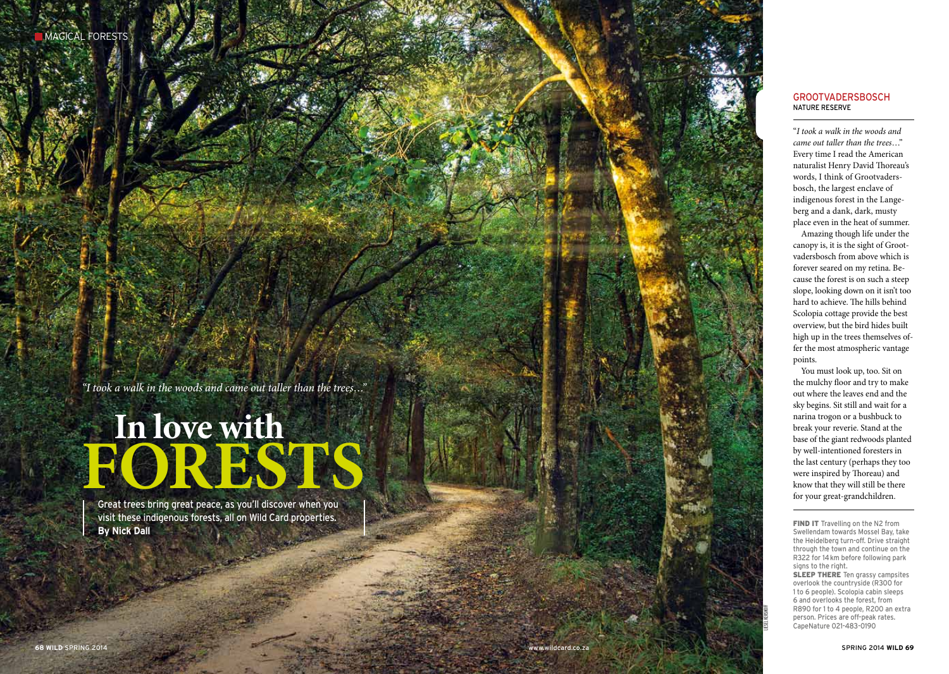*"I took a walk in the woods and came out taller than the trees…"*

# **F**<br> **S** Great trees bring great peace, as you'll discover when you **s In love with**

Great trees bring great peace, as you'll discover when you visit these indigenous forests, all on Wild Card properties. **By Nick Dall**

"*I took a walk in the woods and came out taller than the trees*…" Every time I read the American naturalist Henry David Thoreau's words, I think of Grootvaders bosch, the largest enclave of indigenous forest in the Lange berg and a dank, dark, musty place even in the heat of summer.

Amazing though life under the canopy is, it is the sight of Groot vadersbosch from above which is forever seared on my retina. Be cause the forest is on such a steep slope, looking down on it isn't too hard to achieve. The hills behind Scolopia cottage provide the best overview, but the bird hides built high up in the trees themselves offer the most atmospheric vantage points.

You must look up, too. Sit on the mulchy floor and try to make out where the leaves end and the sky begins. Sit still and wait for a narina trogon or a bushbuck to break your reverie. Stand at the base of the giant redwoods planted by well-intentioned foresters in the last century (perhaps they too were inspired by Thoreau) and know that they will still be there **GROOTVADERSBOSCH**<br>
"I took a walk in the woods are came out taller than the trees.<br>
Every time I read the Americ naturalist Henry David Thore<br>
words, I think of Grootvader<br>
bosch, the largest enclave of<br>
indigenous forest

FIND IT Travelling on the N2 from Swellendam towards Mossel Bay, take the Heidelberg turn-off. Drive straight through the town and continue on the R322 for 14km before following park signs to the right. **SLEEP THERE** Ten grassy campsites overlook the countryside (R300 for 1 to 6 people). Scolopia cabin sleeps 6 and overlooks the forest, from R890 for 1 to 4 people, R200 an extra person. Prices are off-peak rates. CapeNature 021-483-0190

Liesel kershoff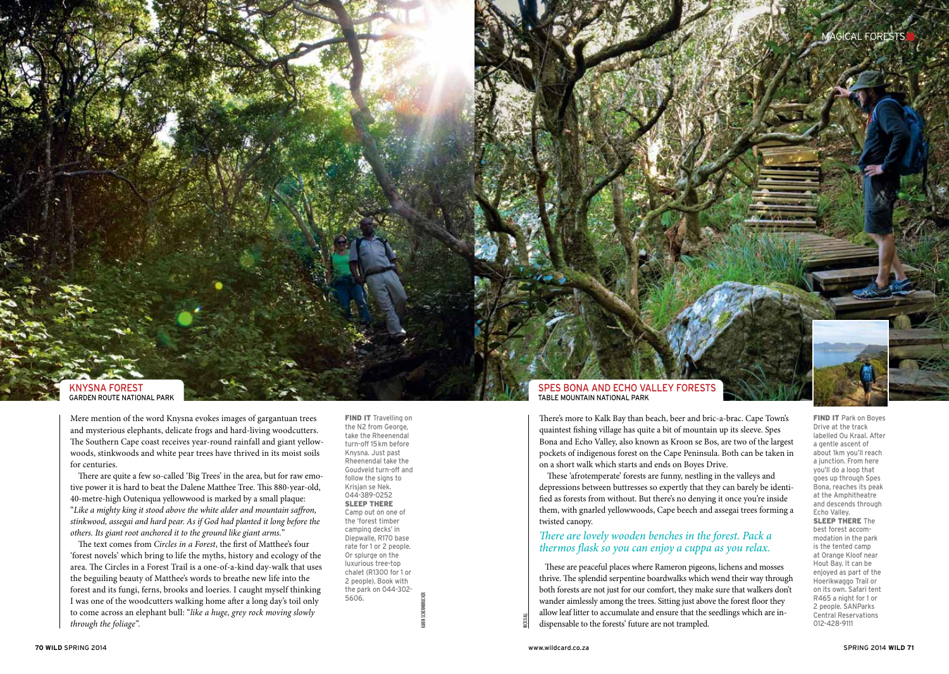

GARDEN ROUTE NATIONAL PARK

Mere mention of the word Knysna evokes images of gargantuan trees and mysterious elephants, delicate frogs and hard-living woodcutters. The Southern Cape coast receives year-round rainfall and giant yellowwoods, stinkwoods and white pear trees have thrived in its moist soils for centuries.

There are quite a few so-called 'Big Trees' in the area, but for raw emotive power it is hard to beat the Dalene Matthee Tree. This 880-year-old, 40-metre-high Outeniqua yellowwood is marked by a small plaque: "*Like a mighty king it stood above the white alder and mountain saffron, stinkwood, assegai and hard pear. As if God had planted it long before the others. Its giant root anchored it to the ground like giant arms.*"

The text comes from *Circles in a Forest*, the first of Matthee's four 'forest novels' which bring to life the myths, history and ecology of the area. The Circles in a Forest Trail is a one-of-a-kind day-walk that uses the beguiling beauty of Matthee's words to breathe new life into the forest and its fungi, ferns, brooks and loeries. I caught myself thinking I was one of the woodcutters walking home after a long day's toil only to come across an elephant bull: "*like a huge, grey rock moving slowly through the foliage".*

**FIND IT** Travelling on the N2 from George, take the Rheenendal turn-off 15km before Knysna. Just past Rheenendal take the Goudveld turn-off and follow the signs to Krisjan se Nek. 044-389-0252 SLEEP THERE Camp out on one of the 'forest timber camping decks' in Diepwalle, R170 base rate for 1 or 2 people. Or splurge on the luxurious tree-top chalet (R1300 for 1 or 2 people). Book with the park on 044-302- 5606. KARIN SCHERMBRUCKER

There's more to Kalk Bay than beach, beer and bric-a-brac. Cape Town's quaintest fishing village has quite a bit of mountain up its sleeve. Spes Bona and Echo Valley, also known as Kroon se Bos, are two of the largest pockets of indigenous forest on the Cape Peninsula. Both can be taken in on a short walk which starts and ends on Boyes Drive.

These 'afrotemperate' forests are funny, nestling in the valleys and depressions between buttresses so expertly that they can barely be identified as forests from without. But there's no denying it once you're inside them, with gnarled yellowwoods, Cape beech and assegai trees forming a twisted canopy.

# *There are lovely wooden benches in the forest. Pack a thermos flask so you can enjoy a cuppa as you relax.*

 These are peaceful places where Rameron pigeons, lichens and mosses thrive. The splendid serpentine boardwalks which wend their way through both forests are not just for our comfort, they make sure that walkers don't wander aimlessly among the trees. Sitting just above the forest floor they allow leaf litter to accumulate and ensure that the seedlings which are indispensable to the forests' future are not trampled.

**FIND IT Park on Boyes** Drive at the track labelled Ou Kraal. After a gentle ascent of about 1km you'll reach a junction. From here you'll do a loop that goes up through Spes Bona, reaches its peak at the Amphitheatre and descends through Echo Valley. **SLEEP THERE The** best forest accommodation in the park is the tented camp at Orange Kloof near Hout Bay. It can be enjoyed as part of the Hoerikwaggo Trail or on its own. Safari tent R465 a night for 1 or 2 people. SANParks Central Reservations 012-428-9111

NICK DALL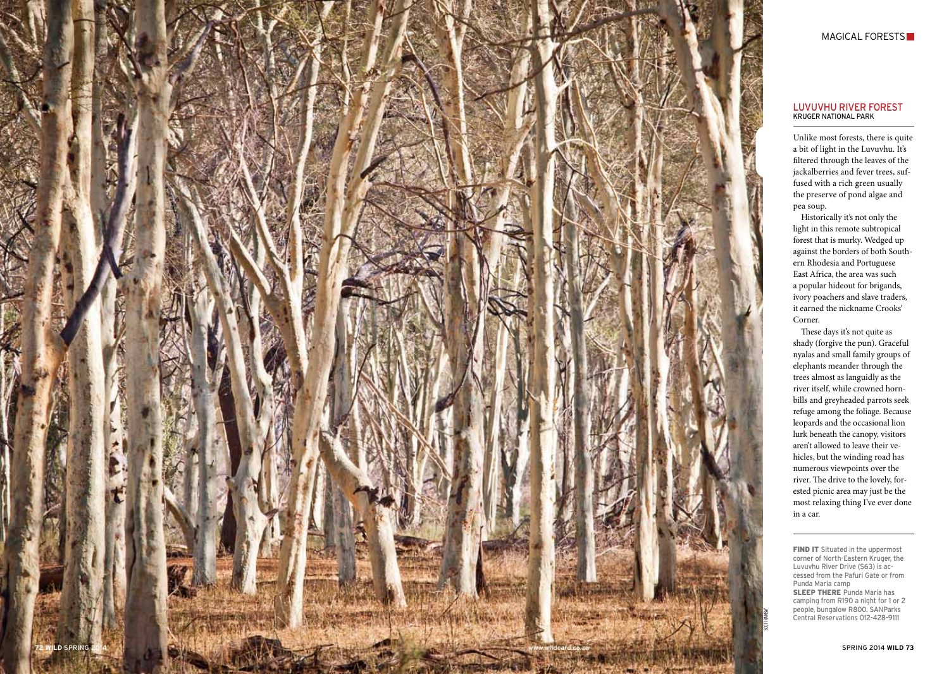

## MAGICAL FORESTS

### LUVUVHU RIVER FORES KRUGER NATIONAL PAR

Unlike most forests, there is quite a bit of light in the Luvuvhu. It's filtered through the leaves of the jackalberries and fever trees, suffused with a rich green usually the preserve of pond algae and pea soup.

Historically it's not only the light in this remote subtropical forest that is murky. Wedged up against the borders of both South ern Rhodesia and Portuguese East Africa, the area was such a popular hideout for brigands, ivory poachers and slave traders, it earned the nickname Crooks' Corner.

These days it's not quite as shady (forgive the pun). Graceful nyalas and small family groups of elephants meander through the trees almost as languidly as the river itself, while crowned horn bills and greyheaded parrots seek refuge among the foliage. Because leopards and the occasional lion lurk beneath the canopy, visitors aren't allowed to leave their ve hicles, but the winding road has numerous viewpoints over the river. The drive to the lovely, for ested picnic area may just be the most relaxing thing I've ever done in a car.

FIND IT Situated in the uppermost corner of North-Eastern Kruger, the Luvuvhu River Drive (S63) is accessed from the Pafuri Gate or from Punda Maria camp **SLEEP THERE** Punda Maria has camping from R190 a night for 1 or 2 people, bungalow R800. S ANParks Central Reservations 012-428-9111